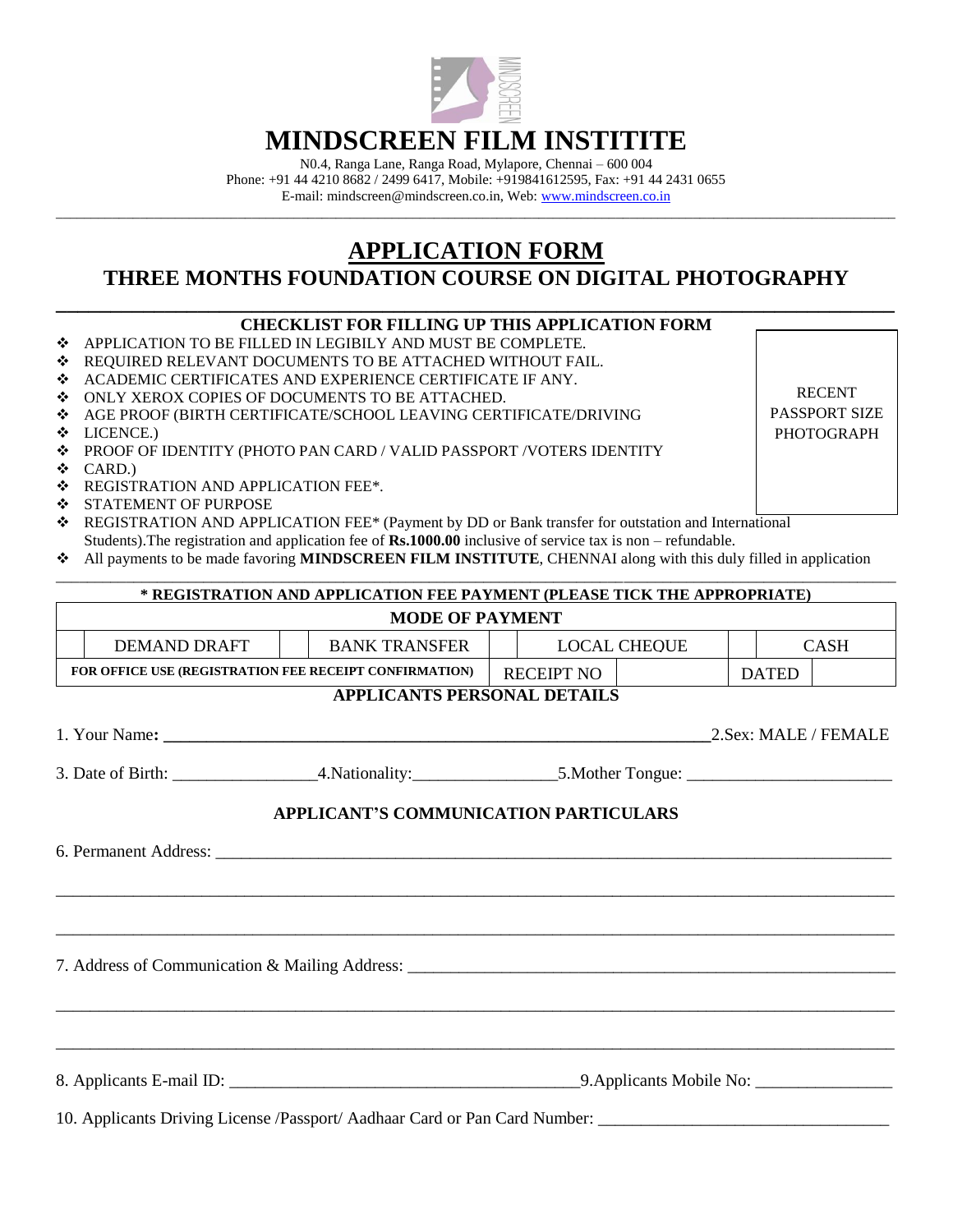

## **MINDSCREEN FILM INSTITITE**

N0.4, Ranga Lane, Ranga Road, Mylapore, Chennai – 600 004 Phone: +91 44 4210 8682 / 2499 6417, Mobile: +919841612595, Fax: +91 44 2431 0655 E-mail: mindscreen@mindscreen.co.in, Web: [www.mindscreen.co.in](http://www.mindscreen.co.in/)

\_\_\_\_\_\_\_\_\_\_\_\_\_\_\_\_\_\_\_\_\_\_\_\_\_\_\_\_\_\_\_\_\_\_\_\_\_\_\_\_\_\_\_\_\_\_\_\_\_\_\_\_\_\_\_\_\_\_\_\_\_\_\_\_\_\_\_\_\_\_\_\_\_\_\_\_\_\_\_\_\_\_\_\_\_\_\_\_\_\_\_\_\_\_\_\_\_\_\_\_\_\_\_\_\_\_\_\_\_\_\_\_\_\_\_\_\_\_\_\_

## **APPLICATION FORM THREE MONTHS FOUNDATION COURSE ON DIGITAL PHOTOGRAPHY**

## **\_\_\_\_\_\_\_\_\_\_\_\_\_\_\_\_\_\_\_\_\_\_\_\_\_\_\_\_\_\_\_\_\_\_\_\_\_\_\_\_\_\_\_\_\_\_\_\_\_\_\_\_\_\_\_\_\_\_\_\_\_\_\_\_\_\_\_\_\_\_\_\_\_\_\_\_\_ CHECKLIST FOR FILLING UP THIS APPLICATION FORM**

- APPLICATION TO BE FILLED IN LEGIBILY AND MUST BE COMPLETE.
- REQUIRED RELEVANT DOCUMENTS TO BE ATTACHED WITHOUT FAIL.
- ACADEMIC CERTIFICATES AND EXPERIENCE CERTIFICATE IF ANY.
- $\div$  ONLY XEROX COPIES OF DOCUMENTS TO BE ATTACHED.
- AGE PROOF (BIRTH CERTIFICATE/SCHOOL LEAVING CERTIFICATE/DRIVING
- LICENCE.)
- PROOF OF IDENTITY (PHOTO PAN CARD / VALID PASSPORT /VOTERS IDENTITY
- RECENT PASSPORT SIZE PHOTOGRAPH
- $\div$  CARD.)
- **\*** REGISTRATION AND APPLICATION FEE\*.
- STATEMENT OF PURPOSE
- REGISTRATION AND APPLICATION FEE\* (Payment by DD or Bank transfer for outstation and International Students).The registration and application fee of **Rs.1000.00** inclusive of service tax is non – refundable.
- All payments to be made favoring **MINDSCREEN FILM INSTITUTE**, CHENNAI along with this duly filled in application

\_\_\_\_\_\_\_\_\_\_\_\_\_\_\_\_\_\_\_\_\_\_\_\_\_\_\_\_\_\_\_\_\_\_\_\_\_\_\_\_\_\_\_\_\_\_\_\_\_\_\_\_\_\_\_\_\_\_\_\_\_\_\_\_\_\_\_\_\_\_\_\_\_\_\_\_\_\_\_\_\_\_\_\_\_\_\_\_\_\_\_\_\_\_\_\_\_\_\_\_\_\_\_\_\_\_\_\_

|                                                                                   | * REGISTRATION AND APPLICATION FEE PAYMENT (PLEASE TICK THE APPROPRIATE) |                            |                              |  |  |  |                      |  |
|-----------------------------------------------------------------------------------|--------------------------------------------------------------------------|----------------------------|------------------------------|--|--|--|----------------------|--|
|                                                                                   | <b>MODE OF PAYMENT</b>                                                   |                            |                              |  |  |  |                      |  |
| <b>DEMAND DRAFT</b>                                                               |                                                                          |                            | BANK TRANSFER   LOCAL CHEOUE |  |  |  | <b>CASH</b>          |  |
| FOR OFFICE USE (REGISTRATION FEE RECEIPT CONFIRMATION)                            |                                                                          | RECEIPT NO<br><b>DATED</b> |                              |  |  |  |                      |  |
|                                                                                   | <b>APPLICANTS PERSONAL DETAILS</b>                                       |                            |                              |  |  |  |                      |  |
|                                                                                   |                                                                          |                            |                              |  |  |  | 2.Sex: MALE / FEMALE |  |
|                                                                                   |                                                                          |                            |                              |  |  |  |                      |  |
|                                                                                   | APPLICANT'S COMMUNICATION PARTICULARS                                    |                            |                              |  |  |  |                      |  |
|                                                                                   |                                                                          |                            |                              |  |  |  |                      |  |
|                                                                                   |                                                                          |                            |                              |  |  |  |                      |  |
| ,我们就会在这里的,我们就会在这里的,我们就会在这里的,我们就会在这里,我们就会在这里,我们就会在这里的。""我们,我们就会不会不会。""我们,我们就会不会不会  |                                                                          |                            |                              |  |  |  |                      |  |
| 7. Address of Communication & Mailing Address: __________________________________ |                                                                          |                            |                              |  |  |  |                      |  |
|                                                                                   |                                                                          |                            |                              |  |  |  |                      |  |
|                                                                                   |                                                                          |                            |                              |  |  |  |                      |  |
|                                                                                   |                                                                          |                            |                              |  |  |  |                      |  |
| 10. Applicants Driving License /Passport/ Aadhaar Card or Pan Card Number:        |                                                                          |                            |                              |  |  |  |                      |  |